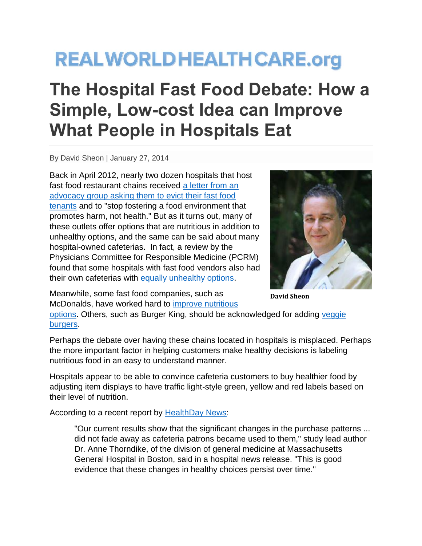## **REALWORLDHEALTHCARE.org**

## **The Hospital Fast Food Debate: How a Simple, Low-cost Idea can Improve What People in Hospitals Eat**

By David Sheon | January 27, 2014

Back in April 2012, nearly two dozen hospitals that host fast food restaurant chains received [a letter from an](http://www.stopcorporateabuse.org/node/1654)  [advocacy group asking them to evict their fast food](http://www.stopcorporateabuse.org/node/1654)  [tenants](http://www.stopcorporateabuse.org/node/1654) and to "stop fostering a food environment that promotes harm, not health." But as it turns out, many of these outlets offer options that are nutritious in addition to unhealthy options, and the same can be said about many hospital-owned cafeterias. In fact, a review by the Physicians Committee for Responsible Medicine (PCRM) found that some hospitals with fast food vendors also had their own cafeterias with [equally unhealthy options.](http://www.pcrm.org/health/reports/five-worst-childrens-hospital-food-environments)



Meanwhile, some fast food companies, such as McDonalds, have worked hard to [improve nutritious](http://news.mcdonalds.com/getattachment/06344ba3-94c0-4171-90ad-35f304142151) 

**David Sheon**

[options.](http://news.mcdonalds.com/getattachment/06344ba3-94c0-4171-90ad-35f304142151) Others, such as Burger King, should be acknowledged for adding [veggie](http://www.bk.com/en/us/menu-nutrition/lunch-and-dinner-menu-202/fish-and-chicken-221/morningstar-veggie-burger-m2675/index.html)  [burgers.](http://www.bk.com/en/us/menu-nutrition/lunch-and-dinner-menu-202/fish-and-chicken-221/morningstar-veggie-burger-m2675/index.html)

Perhaps the debate over having these chains located in hospitals is misplaced. Perhaps the more important factor in helping customers make healthy decisions is labeling nutritious food in an easy to understand manner.

Hospitals appear to be able to convince cafeteria customers to buy healthier food by adjusting item displays to have traffic light-style green, yellow and red labels based on their level of nutrition.

According to a recent report by [HealthDay News:](http://www.webmd.com/diet/news/20140107/labeling-food-with-stop-or-go-colors-might-spur-healthier-diet)

"Our current results show that the significant changes in the purchase patterns ... did not fade away as cafeteria patrons became used to them," study lead author Dr. Anne Thorndike, of the division of general medicine at Massachusetts General Hospital in Boston, said in a hospital news release. "This is good evidence that these changes in healthy choices persist over time."